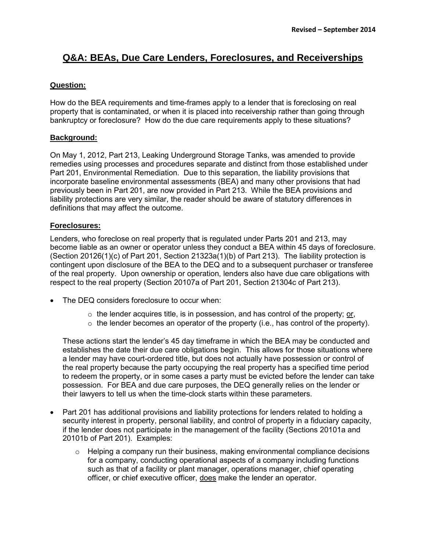# **Q&A: BEAs, Due Care Lenders, Foreclosures, and Receiverships**

### **Question:**

How do the BEA requirements and time-frames apply to a lender that is foreclosing on real property that is contaminated, or when it is placed into receivership rather than going through bankruptcy or foreclosure? How do the due care requirements apply to these situations?

#### **Background:**

On May 1, 2012, Part 213, Leaking Underground Storage Tanks, was amended to provide remedies using processes and procedures separate and distinct from those established under Part 201, Environmental Remediation. Due to this separation, the liability provisions that incorporate baseline environmental assessments (BEA) and many other provisions that had previously been in Part 201, are now provided in Part 213. While the BEA provisions and liability protections are very similar, the reader should be aware of statutory differences in definitions that may affect the outcome.

#### **Foreclosures:**

Lenders, who foreclose on real property that is regulated under Parts 201 and 213, may become liable as an owner or operator unless they conduct a BEA within 45 days of foreclosure. (Section 20126(1)(c) of Part 201, Section 21323a(1)(b) of Part 213). The liability protection is contingent upon disclosure of the BEA to the DEQ and to a subsequent purchaser or transferee of the real property. Upon ownership or operation, lenders also have due care obligations with respect to the real property (Section 20107a of Part 201, Section 21304c of Part 213).

- The DEQ considers foreclosure to occur when:
	- $\circ$  the lender acquires title, is in possession, and has control of the property; or,
	- $\circ$  the lender becomes an operator of the property (i.e., has control of the property).

These actions start the lender's 45 day timeframe in which the BEA may be conducted and establishes the date their due care obligations begin. This allows for those situations where a lender may have court-ordered title, but does not actually have possession or control of the real property because the party occupying the real property has a specified time period to redeem the property, or in some cases a party must be evicted before the lender can take possession. For BEA and due care purposes, the DEQ generally relies on the lender or their lawyers to tell us when the time-clock starts within these parameters.

- Part 201 has additional provisions and liability protections for lenders related to holding a security interest in property, personal liability, and control of property in a fiduciary capacity, if the lender does not participate in the management of the facility (Sections 20101a and 20101b of Part 201). Examples:
	- $\circ$  Helping a company run their business, making environmental compliance decisions for a company, conducting operational aspects of a company including functions such as that of a facility or plant manager, operations manager, chief operating officer, or chief executive officer, does make the lender an operator.